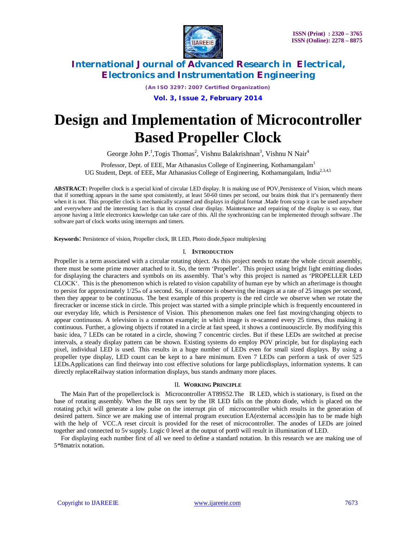

*(An ISO 3297: 2007 Certified Organization)*

**Vol. 3, Issue 2, February 2014**

# **Design and Implementation of Microcontroller Based Propeller Clock**

George John P.<sup>1</sup>, Togis Thomas<sup>2</sup>, Vishnu Balakrishnan<sup>3</sup>, Vishnu N Nair<sup>4</sup>

Professor, Dept. of EEE, Mar Athanasius College of Engineering, Kothamangalam<sup>1</sup> UG Student, Dept. of EEE, Mar Athanasius College of Engineering, Kothamangalam, India<sup>2,3,4,5</sup>

**ABSTRACT:** Propeller clock is a special kind of circular LED display. It is making use of POV,Persistence of Vision, which means that if something appears in the same spot consistently, at least 50-60 times per second, our brains think that it's permanently there when it is not. This propeller clock is mechanically scanned and displays in digital format .Made from scrap it can be used anywhere and everywhere and the interesting fact is that its crystal clear display. Maintenance and repairing of the display is so easy, that anyone having a little electronics knowledge can take care of this. All the synchronizing can be implemented through software .The software part of clock works using interrupts and timers.

**Keywords**: Persistence of vision, Propeller clock, IR LED, Photo diode,Space multiplexing

### I. **INTRODUCTION**

Propeller is a term associated with a circular rotating object. As this project needs to rotate the whole circuit assembly, there must be some prime mover attached to it. So, the term 'Propeller'. This project using bright light emitting diodes for displaying the characters and symbols on its assembly. That's why this project is named as 'PROPELLER LED CLOCK'. This is the phenomenon which is related to vision capability of human eye by which an afterimage is thought to persist for approximately  $1/25<sub>th</sub>$  of a second. So, if someone is observing the images at a rate of 25 images per second, then they appear to be continuous. The best example of this property is the red circle we observe when we rotate the firecracker or incense stick in circle. This project was started with a simple principle which is frequently encountered in our everyday life, which is Persistence of Vision. This phenomenon makes one feel fast moving/changing objects to appear continuous. A television is a common example; in which image is re-scanned every 25 times, thus making it continuous. Further, a glowing objects if rotated in a circle at fast speed, it shows a continuouscircle. By modifying this basic idea, 7 LEDs can be rotated in a circle, showing 7 concentric circles. But if these LEDs are switched at precise intervals, a steady display pattern can be shown. Existing systems do employ POV principle, but for displaying each pixel, individual LED is used. This results in a huge number of LEDs even for small sized displays. By using a propeller type display, LED count can be kept to a bare minimum. Even 7 LEDs can perform a task of over 525 LEDs.Applications can find theirway into cost effective solutions for large publicdisplays, information systems. It can directly replaceRailway station information displays, bus stands andmany more places.

### II. **WORKING PRINCIPLE**

The Main Part of the propellerclock is Microcontroller AT89S52.The IR LED, which is stationary, is fixed on the base of rotating assembly. When the IR rays sent by the IR LED falls on the photo diode, which is placed on the rotating pcb,it will generate a low pulse on the interrupt pin of microcontroller which results in the generation of desired pattern. Since we are making use of internal program execution EA(external access)pin has to be made high with the help of VCC.A reset circuit is provided for the reset of microcontroller. The anodes of LEDs are joined together and connected to 5v supply. Logic 0 level at the output of port0 will result in illumination of LED.

For displaying each number first of all we need to define a standard notation. In this research we are making use of 5\*8matrix notation.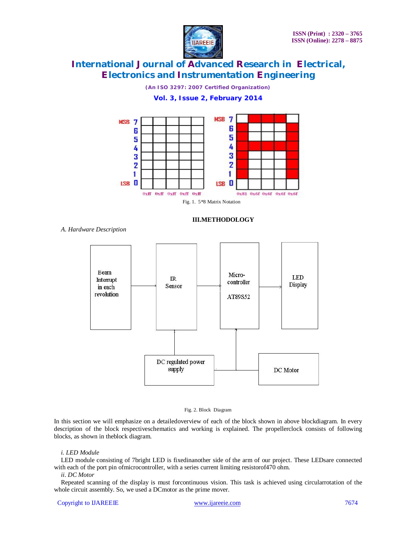

*(An ISO 3297: 2007 Certified Organization)* **Vol. 3, Issue 2, February 2014**





Fig. 1. 5\*8 Matrix Notation

### **III.METHODOLOGY**

*A. Hardware Description*



#### Fig. 2. Block Diagram

In this section we will emphasize on a detailedoverview of each of the block shown in above blockdiagram. In every description of the block respectiveschematics and working is explained. The propellerclock consists of following blocks, as shown in theblock diagram.

### *i. LED Module*

LED module consisting of 7bright LED is fixedinanother side of the arm of our project. These LEDsare connected with each of the port pin ofmicrocontroller, with a series current limiting resistorof470 ohm.

### *ii. DC Motor*

Repeated scanning of the display is must forcontinuous vision. This task is achieved using circularrotation of the whole circuit assembly. So, we used a DCmotor as the prime mover.

#### Copyright to IJAREEIE www.ijareeie.com 7674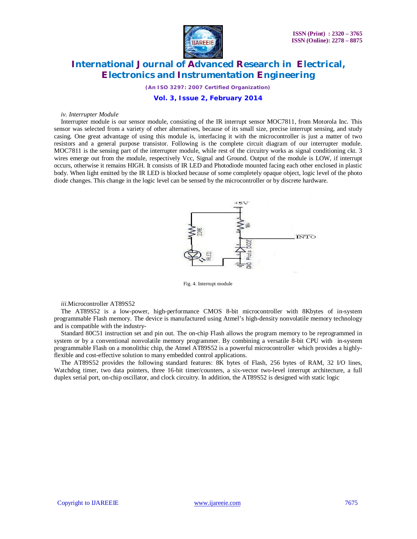

*(An ISO 3297: 2007 Certified Organization)*

### **Vol. 3, Issue 2, February 2014**

#### *iv. Interrupter Module*

Interrupter module is our sensor module, consisting of the IR interrupt sensor MOC7811, from Motorola Inc. This sensor was selected from a variety of other alternatives, because of its small size, precise interrupt sensing, and study casing. One great advantage of using this module is, interfacing it with the microcontroller is just a matter of two resistors and a general purpose transistor. Following is the complete circuit diagram of our interrupter module. MOC7811 is the sensing part of the interrupter module, while rest of the circuitry works as signal conditioning ckt. 3 wires emerge out from the module, respectively Vcc, Signal and Ground. Output of the module is LOW, if interrupt occurs, otherwise it remains HIGH. It consists of IR LED and Photodiode mounted facing each other enclosed in plastic body. When light emitted by the IR LED is blocked because of some completely opaque object, logic level of the photo diode changes. This change in the logic level can be sensed by the microcontroller or by discrete hardware.



Fig. 4. Interrupt module

#### *iii*.Microcontroller AT89S52

The AT89S52 is a low-power, high-performance CMOS 8-bit microcontroller with 8Kbytes of in-system programmable Flash memory. The device is manufactured using Atmel's high-density nonvolatile memory technology and is compatible with the industry-

Standard 80C51 instruction set and pin out. The on-chip Flash allows the program memory to be reprogrammed in system or by a conventional nonvolatile memory programmer. By combining a versatile 8-bit CPU with in-system programmable Flash on a monolithic chip, the Atmel AT89S52 is a powerful microcontroller which provides a highlyflexible and cost-effective solution to many embedded control applications.

The AT89S52 provides the following standard features: 8K bytes of Flash, 256 bytes of RAM, 32 I/O lines, Watchdog timer, two data pointers, three 16-bit timer/counters, a six-vector two-level interrupt architecture, a full duplex serial port, on-chip oscillator, and clock circuitry. In addition, the AT89S52 is designed with static logic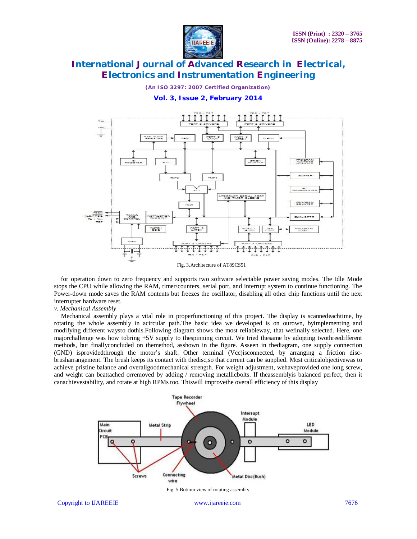

*(An ISO 3297: 2007 Certified Organization)*

**Vol. 3, Issue 2, February 2014**



Fig. 3.Architecture of AT89CS51

for operation down to zero frequency and supports two software selectable power saving modes. The Idle Mode stops the CPU while allowing the RAM, timer/counters, serial port, and interrupt system to continue functioning. The Power-down mode saves the RAM contents but freezes the oscillator, disabling all other chip functions until the next interrupter hardware reset.

#### *v. Mechanical Assembly*

Mechanical assembly plays a vital role in properfunctioning of this project. The display is scannedeachtime, by rotating the whole assembly in acircular path.The basic idea we developed is on ourown, byimplementing and modifying different waysto dothis.Following diagram shows the most reliableway, that wefinally selected. Here, one majorchallenge was how tobring +5V supply to thespinning circuit. We tried thesame by adopting twothreedifferent methods, but finallyconcluded on themethod, asshown in the figure. Asseen in thediagram, one supply connection (GND) isprovidedthrough the motor's shaft. Other terminal (Vcc)isconnected, by arranging a friction discbrusharrangement. The brush keeps its contact with thedisc,so that current can be supplied. Most criticalobjectivewas to achieve pristine balance and overallgoodmechanical strength. For weight adjustment, wehaveprovided one long screw, and weight can beattached orremoved by adding / removing metallicbolts. If theassemblyis balanced perfect, then it canachievestability, and rotate at high RPMs too. Thiswill improvethe overall efficiency of this display



Fig. 5.Bottom view of rotating assembly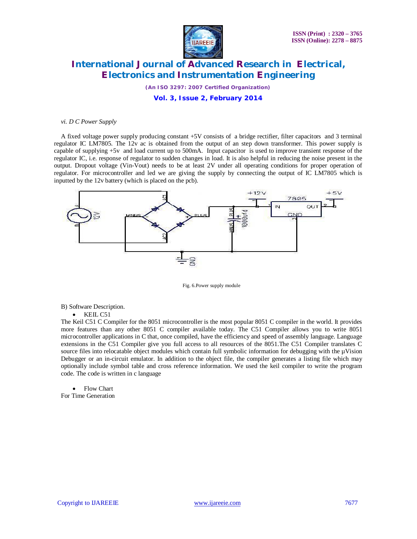

*(An ISO 3297: 2007 Certified Organization)*

### **Vol. 3, Issue 2, February 2014**

#### *vi. D C Power Supply*

A fixed voltage power supply producing constant +5V consists of a bridge rectifier, filter capacitors and 3 terminal regulator IC LM7805. The 12v ac is obtained from the output of an step down transformer. This power supply is capable of supplying +5v and load current up to 500mA. Input capacitor is used to improve transient response of the regulator IC, i.e. response of regulator to sudden changes in load. It is also helpful in reducing the noise present in the output. Dropout voltage (Vin-Vout) needs to be at least 2V under all operating conditions for proper operation of regulator. For microcontroller and led we are giving the supply by connecting the output of IC LM7805 which is inputted by the 12v battery (which is placed on the pcb).



Fig. 6.Power supply module

B) Software Description.

 $\bullet$  KEIL C51

The Keil C51 C Compiler for the 8051 microcontroller is the most popular 8051 C compiler in the world. It provides more features than any other 8051 C compiler available today. The C51 Compiler allows you to write 8051 microcontroller applications in C that, once compiled, have the efficiency and speed of assembly language. Language extensions in the C51 Compiler give you full access to all resources of the 8051.The C51 Compiler translates C source files into relocatable object modules which contain full symbolic information for debugging with the µVision Debugger or an in-circuit emulator. In addition to the object file, the compiler generates a listing file which may optionally include symbol table and cross reference information. We used the keil compiler to write the program code. The code is written in c language

• Flow Chart For Time Generation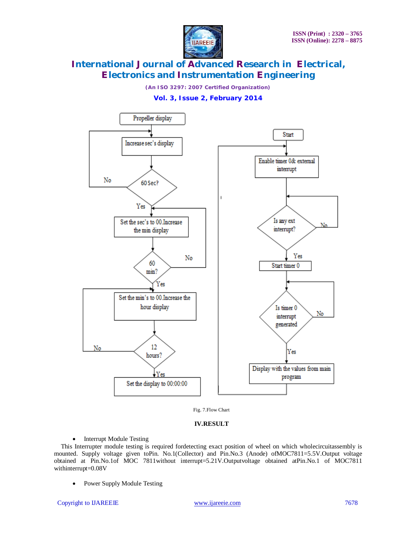

*(An ISO 3297: 2007 Certified Organization)*

**Vol. 3, Issue 2, February 2014**



Fig. 7.Flow Chart

### **IV.RESULT**

• Interrupt Module Testing

This Interrupter module testing is required fordetecting exact position of wheel on which wholecircuitassembly is mounted. Supply voltage given toPin. No.1(Collector) and Pin.No.3 (Anode) ofMOC7811=5.5V.Output voltage obtained at Pin.No.1of MOC 7811without interrupt=5.21V.Outputvoltage obtained atPin.No.1 of MOC7811 withinterrupt=0.08V

• Power Supply Module Testing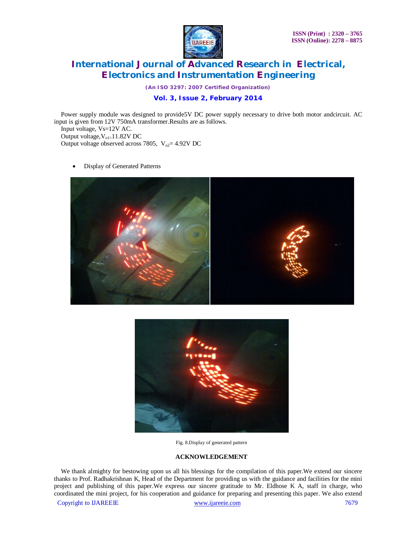

*(An ISO 3297: 2007 Certified Organization)*

### **Vol. 3, Issue 2, February 2014**

Power supply module was designed to provide5V DC power supply necessary to drive both motor andcircuit. AC input is given from 12V 750mA transformer.Results are as follows.

Input voltage, Vs=12V AC. Output voltage,  $V_{ol}$ =11.82V DC Output voltage observed across 7805,  $V_{02} = 4.92V$  DC

Display of Generated Patterns





Fig. 8.Display of generated pattern

### **ACKNOWLEDGEMENT**

We thank almighty for bestowing upon us all his blessings for the compilation of this paper.We extend our sincere thanks to Prof. Radhakrishnan K, Head of the Department for providing us with the guidance and facilities for the mini project and publishing of this paper.We express our sincere gratitude to Mr. Eldhose K A, staff in charge, who coordinated the mini project, for his cooperation and guidance for preparing and presenting this paper. We also extend

Copyright to IJAREEIE www.ijareeie.com 7679